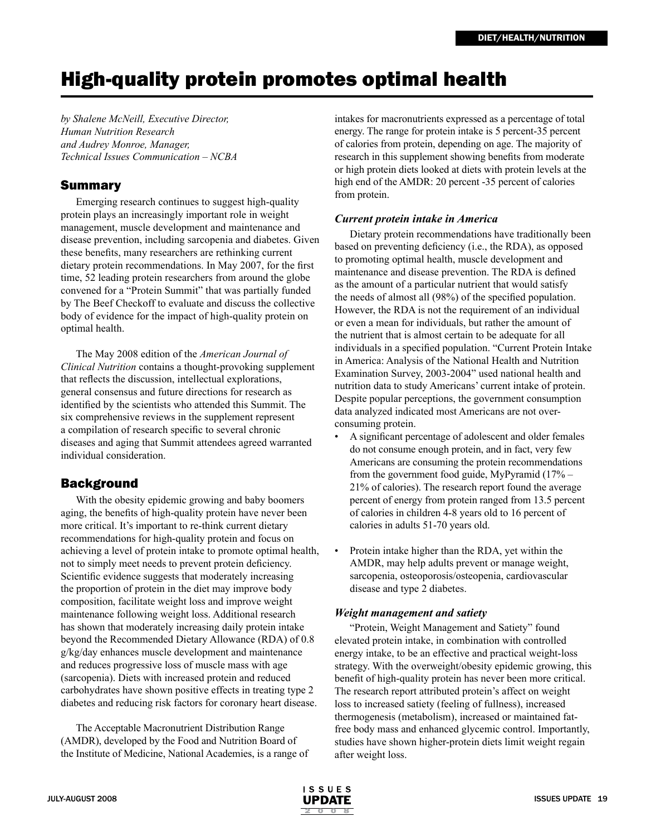# High-quality protein promotes optimal health

*by Shalene McNeill, Executive Director, Human Nutrition Research and Audrey Monroe, Manager, Technical Issues Communication – NCBA* 

# Summary

Emerging research continues to suggest high-quality protein plays an increasingly important role in weight management, muscle development and maintenance and disease prevention, including sarcopenia and diabetes. Given these benefits, many researchers are rethinking current dietary protein recommendations. In May 2007, for the first time, 52 leading protein researchers from around the globe convened for a "Protein Summit" that was partially funded by The Beef Checkoff to evaluate and discuss the collective body of evidence for the impact of high-quality protein on optimal health.

The May 2008 edition of the *American Journal of Clinical Nutrition* contains a thought-provoking supplement that reflects the discussion, intellectual explorations, general consensus and future directions for research as identified by the scientists who attended this Summit. The six comprehensive reviews in the supplement represent a compilation of research specific to several chronic diseases and aging that Summit attendees agreed warranted individual consideration.

# **Background**

With the obesity epidemic growing and baby boomers aging, the benefits of high-quality protein have never been more critical. It's important to re-think current dietary recommendations for high-quality protein and focus on achieving a level of protein intake to promote optimal health, not to simply meet needs to prevent protein deficiency. Scientific evidence suggests that moderately increasing the proportion of protein in the diet may improve body composition, facilitate weight loss and improve weight maintenance following weight loss. Additional research has shown that moderately increasing daily protein intake beyond the Recommended Dietary Allowance (RDA) of 0.8 g/kg/day enhances muscle development and maintenance and reduces progressive loss of muscle mass with age (sarcopenia). Diets with increased protein and reduced carbohydrates have shown positive effects in treating type 2 diabetes and reducing risk factors for coronary heart disease.

The Acceptable Macronutrient Distribution Range (AMDR), developed by the Food and Nutrition Board of the Institute of Medicine, National Academies, is a range of

intakes for macronutrients expressed as a percentage of total energy. The range for protein intake is 5 percent-35 percent of calories from protein, depending on age. The majority of research in this supplement showing benefits from moderate or high protein diets looked at diets with protein levels at the high end of the AMDR: 20 percent -35 percent of calories from protein.

## *Current protein intake in America*

Dietary protein recommendations have traditionally been based on preventing deficiency (i.e., the RDA), as opposed to promoting optimal health, muscle development and maintenance and disease prevention. The RDA is defined as the amount of a particular nutrient that would satisfy the needs of almost all (98%) of the specified population. However, the RDA is not the requirement of an individual or even a mean for individuals, but rather the amount of the nutrient that is almost certain to be adequate for all individuals in a specified population. "Current Protein Intake in America: Analysis of the National Health and Nutrition Examination Survey, 2003-2004" used national health and nutrition data to study Americans' current intake of protein. Despite popular perceptions, the government consumption data analyzed indicated most Americans are not overconsuming protein.

- A significant percentage of adolescent and older females do not consume enough protein, and in fact, very few Americans are consuming the protein recommendations from the government food guide, MyPyramid (17% – 21% of calories). The research report found the average percent of energy from protein ranged from 13.5 percent of calories in children 4-8 years old to 16 percent of calories in adults 51-70 years old.
- Protein intake higher than the RDA, yet within the AMDR, may help adults prevent or manage weight, sarcopenia, osteoporosis/osteopenia, cardiovascular disease and type 2 diabetes.

## *Weight management and satiety*

"Protein, Weight Management and Satiety" found elevated protein intake, in combination with controlled energy intake, to be an effective and practical weight-loss strategy. With the overweight/obesity epidemic growing, this benefit of high-quality protein has never been more critical. The research report attributed protein's affect on weight loss to increased satiety (feeling of fullness), increased thermogenesis (metabolism), increased or maintained fatfree body mass and enhanced glycemic control. Importantly, studies have shown higher-protein diets limit weight regain after weight loss.

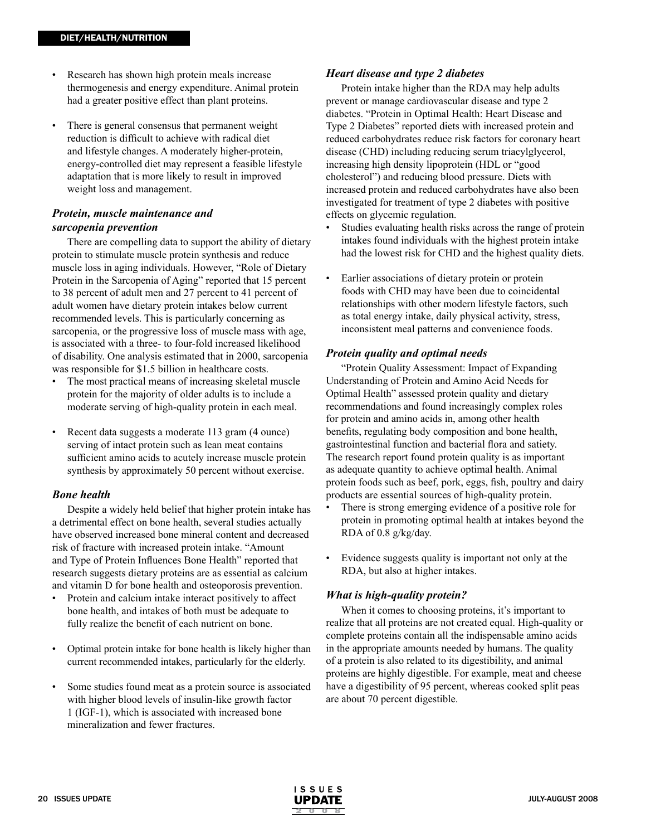- Research has shown high protein meals increase thermogenesis and energy expenditure. Animal protein had a greater positive effect than plant proteins.
- There is general consensus that permanent weight reduction is difficult to achieve with radical diet and lifestyle changes. A moderately higher-protein, energy-controlled diet may represent a feasible lifestyle adaptation that is more likely to result in improved weight loss and management.

## *Protein, muscle maintenance and sarcopenia prevention*

There are compelling data to support the ability of dietary protein to stimulate muscle protein synthesis and reduce muscle loss in aging individuals. However, "Role of Dietary Protein in the Sarcopenia of Aging" reported that 15 percent to 38 percent of adult men and 27 percent to 41 percent of adult women have dietary protein intakes below current recommended levels. This is particularly concerning as sarcopenia, or the progressive loss of muscle mass with age, is associated with a three- to four-fold increased likelihood of disability. One analysis estimated that in 2000, sarcopenia was responsible for \$1.5 billion in healthcare costs.

- The most practical means of increasing skeletal muscle protein for the majority of older adults is to include a moderate serving of high-quality protein in each meal.
- Recent data suggests a moderate 113 gram (4 ounce) serving of intact protein such as lean meat contains sufficient amino acids to acutely increase muscle protein synthesis by approximately 50 percent without exercise.

#### *Bone health*

Despite a widely held belief that higher protein intake has a detrimental effect on bone health, several studies actually have observed increased bone mineral content and decreased risk of fracture with increased protein intake. "Amount and Type of Protein Influences Bone Health" reported that research suggests dietary proteins are as essential as calcium and vitamin D for bone health and osteoporosis prevention.

- Protein and calcium intake interact positively to affect bone health, and intakes of both must be adequate to fully realize the benefit of each nutrient on bone.
- Optimal protein intake for bone health is likely higher than current recommended intakes, particularly for the elderly.
- Some studies found meat as a protein source is associated with higher blood levels of insulin-like growth factor 1 (IGF-1), which is associated with increased bone mineralization and fewer fractures.

#### *Heart disease and type 2 diabetes*

Protein intake higher than the RDA may help adults prevent or manage cardiovascular disease and type 2 diabetes. "Protein in Optimal Health: Heart Disease and Type 2 Diabetes" reported diets with increased protein and reduced carbohydrates reduce risk factors for coronary heart disease (CHD) including reducing serum triacylglycerol, increasing high density lipoprotein (HDL or "good cholesterol") and reducing blood pressure. Diets with increased protein and reduced carbohydrates have also been investigated for treatment of type 2 diabetes with positive effects on glycemic regulation.

- Studies evaluating health risks across the range of protein intakes found individuals with the highest protein intake had the lowest risk for CHD and the highest quality diets.
- Earlier associations of dietary protein or protein foods with CHD may have been due to coincidental relationships with other modern lifestyle factors, such as total energy intake, daily physical activity, stress, inconsistent meal patterns and convenience foods.

#### *Protein quality and optimal needs*

"Protein Quality Assessment: Impact of Expanding Understanding of Protein and Amino Acid Needs for Optimal Health" assessed protein quality and dietary recommendations and found increasingly complex roles for protein and amino acids in, among other health benefits, regulating body composition and bone health, gastrointestinal function and bacterial flora and satiety. The research report found protein quality is as important as adequate quantity to achieve optimal health. Animal protein foods such as beef, pork, eggs, fish, poultry and dairy products are essential sources of high-quality protein.

- There is strong emerging evidence of a positive role for protein in promoting optimal health at intakes beyond the RDA of 0.8 g/kg/day.
- Evidence suggests quality is important not only at the RDA, but also at higher intakes.

## *What is high-quality protein?*

When it comes to choosing proteins, it's important to realize that all proteins are not created equal. High-quality or complete proteins contain all the indispensable amino acids in the appropriate amounts needed by humans. The quality of a protein is also related to its digestibility, and animal proteins are highly digestible. For example, meat and cheese have a digestibility of 95 percent, whereas cooked split peas are about 70 percent digestible.